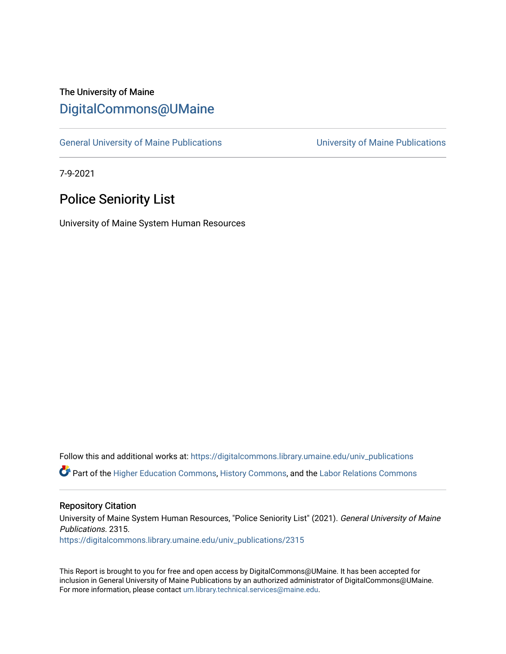## The University of Maine [DigitalCommons@UMaine](https://digitalcommons.library.umaine.edu/)

[General University of Maine Publications](https://digitalcommons.library.umaine.edu/univ_publications) [University of Maine Publications](https://digitalcommons.library.umaine.edu/umaine_publications) 

7-9-2021

# Police Seniority List

University of Maine System Human Resources

Follow this and additional works at: [https://digitalcommons.library.umaine.edu/univ\\_publications](https://digitalcommons.library.umaine.edu/univ_publications?utm_source=digitalcommons.library.umaine.edu%2Funiv_publications%2F2315&utm_medium=PDF&utm_campaign=PDFCoverPages)  Part of the [Higher Education Commons,](http://network.bepress.com/hgg/discipline/1245?utm_source=digitalcommons.library.umaine.edu%2Funiv_publications%2F2315&utm_medium=PDF&utm_campaign=PDFCoverPages) [History Commons,](http://network.bepress.com/hgg/discipline/489?utm_source=digitalcommons.library.umaine.edu%2Funiv_publications%2F2315&utm_medium=PDF&utm_campaign=PDFCoverPages) and the [Labor Relations Commons](http://network.bepress.com/hgg/discipline/635?utm_source=digitalcommons.library.umaine.edu%2Funiv_publications%2F2315&utm_medium=PDF&utm_campaign=PDFCoverPages) 

### Repository Citation

University of Maine System Human Resources, "Police Seniority List" (2021). General University of Maine Publications. 2315. [https://digitalcommons.library.umaine.edu/univ\\_publications/2315](https://digitalcommons.library.umaine.edu/univ_publications/2315?utm_source=digitalcommons.library.umaine.edu%2Funiv_publications%2F2315&utm_medium=PDF&utm_campaign=PDFCoverPages)

This Report is brought to you for free and open access by DigitalCommons@UMaine. It has been accepted for inclusion in General University of Maine Publications by an authorized administrator of DigitalCommons@UMaine. For more information, please contact [um.library.technical.services@maine.edu](mailto:um.library.technical.services@maine.edu).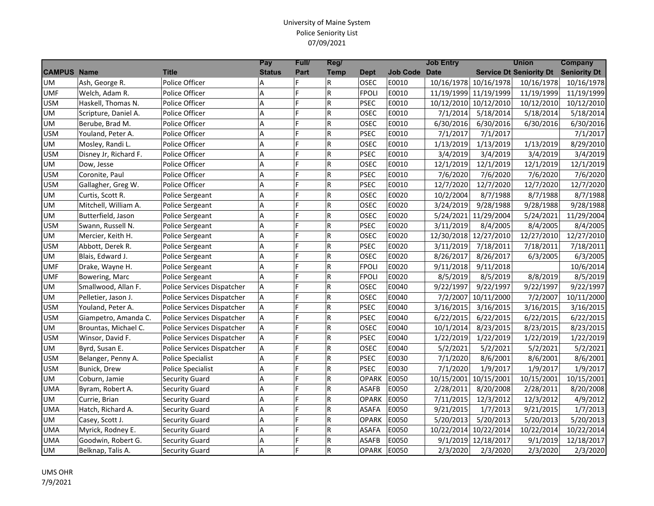#### University of Maine System Police Seniority List 07/09/2021

|                    |                       |                                   | Pay           | Full/ | Reg/        |              |                      | <b>Job Entry</b>      |                       | <b>Union</b>                   | <b>Company</b>      |
|--------------------|-----------------------|-----------------------------------|---------------|-------|-------------|--------------|----------------------|-----------------------|-----------------------|--------------------------------|---------------------|
| <b>CAMPUS Name</b> |                       | <b>Title</b>                      | <b>Status</b> | Part  | Temp        | <b>Dept</b>  | <b>Job Code Date</b> |                       |                       | <b>Service Dt Seniority Dt</b> | <b>Seniority Dt</b> |
| UM                 | Ash, George R.        | Police Officer                    | Α             | F     | R           | OSEC         | E0010                |                       | 10/16/1978 10/16/1978 | 10/16/1978                     | 10/16/1978          |
| <b>UMF</b>         | Welch, Adam R.        | Police Officer                    | A             | F     | R           | <b>FPOLI</b> | E0010                |                       | 11/19/1999 11/19/1999 | 11/19/1999                     | 11/19/1999          |
| <b>USM</b>         | Haskell, Thomas N.    | Police Officer                    | A             | E     | R           | <b>PSEC</b>  | E0010                |                       | 10/12/2010 10/12/2010 | 10/12/2010                     | 10/12/2010          |
| <b>UM</b>          | Scripture, Daniel A.  | Police Officer                    | A             | F     | ${\sf R}$   | OSEC         | E0010                | 7/1/2014              | 5/18/2014             | 5/18/2014                      | 5/18/2014           |
| UM                 | Berube, Brad M.       | Police Officer                    | A             | F     | ${\sf R}$   | OSEC         | E0010                | 6/30/2016             | 6/30/2016             | 6/30/2016                      | 6/30/2016           |
| <b>USM</b>         | Youland, Peter A.     | Police Officer                    | A             | F     | ${\sf R}$   | <b>PSEC</b>  | E0010                | 7/1/2017              | 7/1/2017              |                                | 7/1/2017            |
| UM                 | Mosley, Randi L.      | Police Officer                    | A             | F     | R           | OSEC         | E0010                | 1/13/2019             | 1/13/2019             | 1/13/2019                      | 8/29/2010           |
| <b>USM</b>         | Disney Jr, Richard F. | Police Officer                    | Α             | F     | R           | <b>PSEC</b>  | E0010                | 3/4/2019              | 3/4/2019              | 3/4/2019                       | 3/4/2019            |
| <b>UM</b>          | Dow, Jesse            | Police Officer                    | A             |       | R           | OSEC         | E0010                | 12/1/2019             | 12/1/2019             | 12/1/2019                      | 12/1/2019           |
| <b>USM</b>         | Coronite, Paul        | Police Officer                    | A             | F     | R           | <b>PSEC</b>  | E0010                | 7/6/2020              | 7/6/2020              | 7/6/2020                       | 7/6/2020            |
| <b>USM</b>         | Gallagher, Greg W.    | Police Officer                    | A             | F     | ${\sf R}$   | <b>PSEC</b>  | E0010                | 12/7/2020             | 12/7/2020             | 12/7/2020                      | 12/7/2020           |
| <b>UM</b>          | Curtis, Scott R.      | Police Sergeant                   | A             | F     | R           | OSEC         | E0020                | 10/2/2004             | 8/7/1988              | 8/7/1988                       | 8/7/1988            |
| <b>UM</b>          | Mitchell, William A.  | Police Sergeant                   | A             | F     | ${\sf R}$   | OSEC         | E0020                | 3/24/2019             | 9/28/1988             | 9/28/1988                      | 9/28/1988           |
| <b>UM</b>          | Butterfield, Jason    | Police Sergeant                   | A             | F     | $\mathsf R$ | OSEC         | E0020                |                       | 5/24/2021 11/29/2004  | 5/24/2021                      | 11/29/2004          |
| <b>USM</b>         | Swann, Russell N.     | Police Sergeant                   | A             | F     | R           | <b>PSEC</b>  | E0020                | 3/11/2019             | 8/4/2005              | 8/4/2005                       | 8/4/2005            |
| UM                 | Mercier, Keith H.     | Police Sergeant                   | A             | F     | ${\sf R}$   | OSEC         | E0020                |                       | 12/30/2018 12/27/2010 | 12/27/2010                     | 12/27/2010          |
| <b>USM</b>         | Abbott, Derek R.      | Police Sergeant                   | A             | ١F    | ${\sf R}$   | <b>PSEC</b>  | E0020                | 3/11/2019             | 7/18/2011             | 7/18/2011                      | 7/18/2011           |
| UM                 | Blais, Edward J.      | Police Sergeant                   | A             | F     | ${\sf R}$   | OSEC         | E0020                | 8/26/2017             | 8/26/2017             | 6/3/2005                       | 6/3/2005            |
| <b>UMF</b>         | Drake, Wayne H.       | Police Sergeant                   | A             | F     | ${\sf R}$   | <b>FPOLI</b> | E0020                | 9/11/2018             | 9/11/2018             |                                | 10/6/2014           |
| <b>UMF</b>         | Bowering, Marc        | Police Sergeant                   | A             | F     | ${\sf R}$   | <b>FPOLI</b> | E0020                | 8/5/2019              | 8/5/2019              | 8/8/2019                       | 8/5/2019            |
| UM                 | Smallwood, Allan F.   | Police Services Dispatcher        | Α             | F     | ${\sf R}$   | OSEC         | E0040                | 9/22/1997             | 9/22/1997             | 9/22/1997                      | 9/22/1997           |
| UM                 | Pelletier, Jason J.   | Police Services Dispatcher        | Α             | ١F    | ${\sf R}$   | OSEC         | E0040                |                       | 7/2/2007 10/11/2000   | 7/2/2007                       | 10/11/2000          |
| <b>USM</b>         | Youland, Peter A.     | Police Services Dispatcher        | Α             | F     | ${\sf R}$   | <b>PSEC</b>  | E0040                | 3/16/2015             | 3/16/2015             | 3/16/2015                      | 3/16/2015           |
| <b>USM</b>         | Giampetro, Amanda C.  | Police Services Dispatcher        | A             | E     | ${\sf R}$   | <b>PSEC</b>  | E0040                | 6/22/2015             | 6/22/2015             | 6/22/2015                      | 6/22/2015           |
| <b>UM</b>          | Brountas, Michael C.  | <b>Police Services Dispatcher</b> | A             | l F   | ${\sf R}$   | OSEC         | E0040                | 10/1/2014             | 8/23/2015             | 8/23/2015                      | 8/23/2015           |
| <b>USM</b>         | Winsor, David F.      | Police Services Dispatcher        | A             | F     | ${\sf R}$   | <b>PSEC</b>  | E0040                | 1/22/2019             | 1/22/2019             | 1/22/2019                      | 1/22/2019           |
| <b>UM</b>          | Byrd, Susan E.        | Police Services Dispatcher        | A             | F     | R           | OSEC         | E0040                | 5/2/2021              | 5/2/2021              | 5/2/2021                       | 5/2/2021            |
| <b>USM</b>         | Belanger, Penny A.    | Police Specialist                 | A             | l F   | ${\sf R}$   | <b>PSEC</b>  | E0030                | 7/1/2020              | 8/6/2001              | 8/6/2001                       | 8/6/2001            |
| <b>USM</b>         | Bunick, Drew          | Police Specialist                 | A             | F     | R           | <b>PSEC</b>  | E0030                | 7/1/2020              | 1/9/2017              | 1/9/2017                       | 1/9/2017            |
| UM                 | Coburn, Jamie         | <b>Security Guard</b>             | A             | F     | ${\sf R}$   | <b>OPARK</b> | E0050                | 10/15/2001 10/15/2001 |                       | 10/15/2001                     | 10/15/2001          |
| <b>UMA</b>         | Byram, Robert A.      | <b>Security Guard</b>             | A             | F     | R           | <b>ASAFB</b> | E0050                | 2/28/2011             | 8/20/2008             | 2/28/2011                      | 8/20/2008           |
| UM                 | Currie, Brian         | <b>Security Guard</b>             | A             | F     | R           | <b>OPARK</b> | E0050                | 7/11/2015             | 12/3/2012             | 12/3/2012                      | 4/9/2012            |
| <b>UMA</b>         | Hatch, Richard A.     | <b>Security Guard</b>             | A             | F     | ${\sf R}$   | <b>ASAFA</b> | E0050                | 9/21/2015             | 1/7/2013              | 9/21/2015                      | 1/7/2013            |
| UM                 | Casey, Scott J.       | <b>Security Guard</b>             | A             | F     | ${\sf R}$   | <b>OPARK</b> | E0050                | 5/20/2013             | 5/20/2013             | 5/20/2013                      | 5/20/2013           |
| <b>UMA</b>         | Myrick, Rodney E.     | <b>Security Guard</b>             | Α             | F     | ${\sf R}$   | <b>ASAFA</b> | E0050                |                       | 10/22/2014 10/22/2014 | 10/22/2014                     | 10/22/2014          |
| <b>UMA</b>         | Goodwin, Robert G.    | <b>Security Guard</b>             | Α             | F     | R           | <b>ASAFB</b> | E0050                |                       | 9/1/2019 12/18/2017   | 9/1/2019                       | 12/18/2017          |
| UM                 | Belknap, Talis A.     | <b>Security Guard</b>             | Α             | F     | ${\sf R}$   | <b>OPARK</b> | E0050                | 2/3/2020              | 2/3/2020              | 2/3/2020                       | 2/3/2020            |